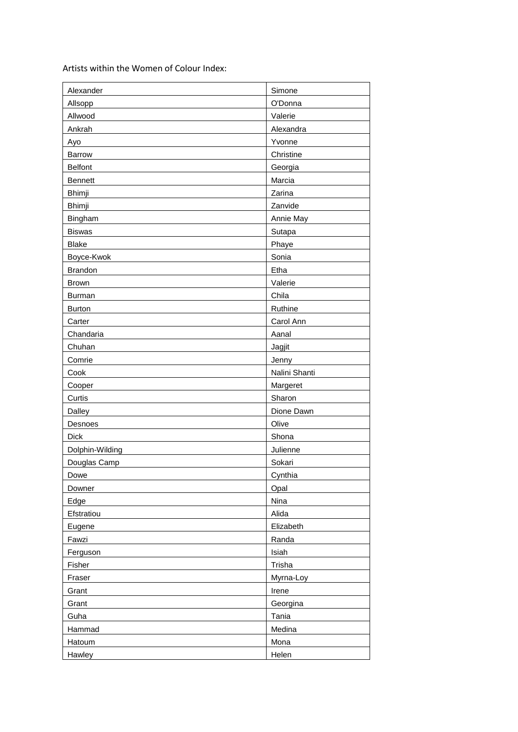Artists within the Women of Colour Index:

| Alexander       | Simone        |
|-----------------|---------------|
| Allsopp         | O'Donna       |
| Allwood         | Valerie       |
| Ankrah          | Alexandra     |
| Ayo             | Yvonne        |
| Barrow          | Christine     |
| <b>Belfont</b>  | Georgia       |
| <b>Bennett</b>  | Marcia        |
| Bhimji          | Zarina        |
| Bhimji          | Zanvide       |
| Bingham         | Annie May     |
| <b>Biswas</b>   | Sutapa        |
| <b>Blake</b>    | Phaye         |
| Boyce-Kwok      | Sonia         |
| <b>Brandon</b>  | Etha          |
| <b>Brown</b>    | Valerie       |
| Burman          | Chila         |
| <b>Burton</b>   | Ruthine       |
| Carter          | Carol Ann     |
| Chandaria       | Aanal         |
| Chuhan          | Jagjit        |
| Comrie          | Jenny         |
| Cook            | Nalini Shanti |
| Cooper          | Margeret      |
| Curtis          | Sharon        |
| Dalley          | Dione Dawn    |
| Desnoes         | Olive         |
| <b>Dick</b>     | Shona         |
| Dolphin-Wilding | Julienne      |
| Douglas Camp    | Sokari        |
| Dowe            | Cynthia       |
| Downer          | Opal          |
| Edge            | Nina          |
| Efstratiou      | Alida         |
| Eugene          | Elizabeth     |
| Fawzi           | Randa         |
| Ferguson        | Isiah         |
| Fisher          | Trisha        |
| Fraser          | Myrna-Loy     |
| Grant           | Irene         |
| Grant           | Georgina      |
| Guha            | Tania         |
| Hammad          | Medina        |
| Hatoum          | Mona          |
| Hawley          | Helen         |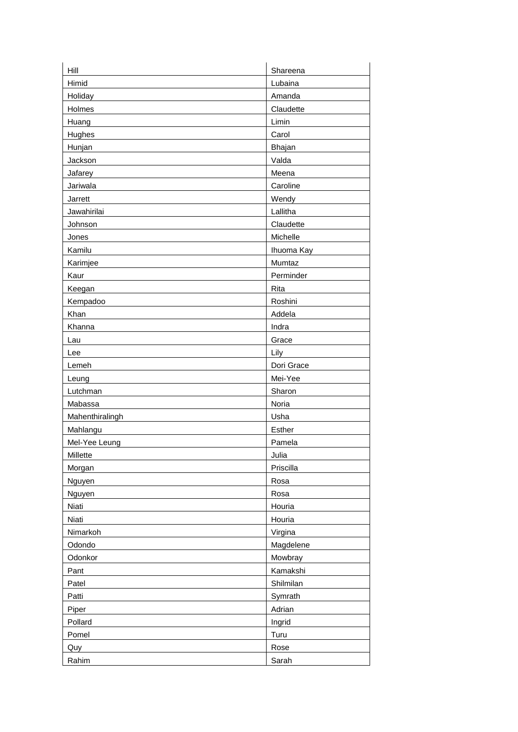| Hill            | Shareena   |
|-----------------|------------|
| Himid           | Lubaina    |
| Holiday         | Amanda     |
| Holmes          | Claudette  |
| Huang           | Limin      |
| <b>Hughes</b>   | Carol      |
| Hunjan          | Bhajan     |
| Jackson         | Valda      |
| Jafarey         | Meena      |
| Jariwala        | Caroline   |
| Jarrett         | Wendy      |
| Jawahirilai     | Lallitha   |
| Johnson         | Claudette  |
| Jones           | Michelle   |
| Kamilu          | Ihuoma Kay |
| Karimjee        | Mumtaz     |
| Kaur            | Perminder  |
| Keegan          | Rita       |
| Kempadoo        | Roshini    |
| Khan            | Addela     |
| Khanna          | Indra      |
| Lau             | Grace      |
| Lee             | Lily       |
| Lemeh           | Dori Grace |
| Leung           | Mei-Yee    |
| Lutchman        | Sharon     |
| Mabassa         | Noria      |
| Mahenthiralingh | Usha       |
| Mahlangu        | Esther     |
| Mel-Yee Leung   | Pamela     |
| Millette        | Julia      |
| Morgan          | Priscilla  |
| Nguyen          | Rosa       |
| Nguyen          | Rosa       |
| Niati           | Houria     |
| Niati           | Houria     |
| Nimarkoh        | Virgina    |
| Odondo          | Magdelene  |
| Odonkor         | Mowbray    |
| Pant            | Kamakshi   |
| Patel           | Shilmilan  |
| Patti           | Symrath    |
| Piper           | Adrian     |
| Pollard         | Ingrid     |
| Pomel           | Turu       |
| Quy             | Rose       |
| Rahim           | Sarah      |